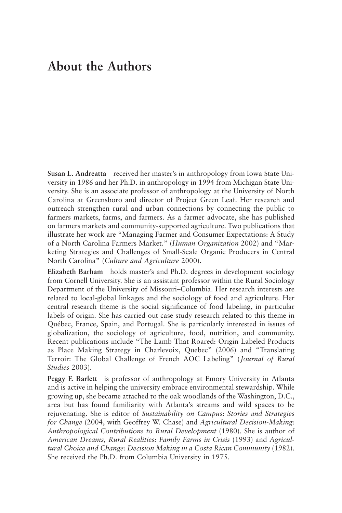## **About the Authors**

**Susan L. Andreatta** received her master's in anthropology from Iowa State University in 1986 and her Ph.D. in anthropology in 1994 from Michigan State University. She is an associate professor of anthropology at the University of North Carolina at Greensboro and director of Project Green Leaf. Her research and outreach strengthen rural and urban connections by connecting the public to farmers markets, farms, and farmers. As a farmer advocate, she has published on farmers markets and community-supported agriculture. Two publications that illustrate her work are "Managing Farmer and Consumer Expectations: A Study of a North Carolina Farmers Market." (*Human Organization* 2002) and "Marketing Strategies and Challenges of Small-Scale Organic Producers in Central North Carolina" (*Culture and Agriculture* 2000).

**Elizabeth Barham** holds master's and Ph.D. degrees in development sociology from Cornell University. She is an assistant professor within the Rural Sociology Department of the University of Missouri–Columbia. Her research interests are related to local-global linkages and the sociology of food and agriculture. Her central research theme is the social significance of food labeling, in particular labels of origin. She has carried out case study research related to this theme in Québec, France, Spain, and Portugal. She is particularly interested in issues of globalization, the sociology of agriculture, food, nutrition, and community. Recent publications include "The Lamb That Roared: Origin Labeled Products as Place Making Strategy in Charlevoix, Quebec" (2006) and "Translating Terroir: The Global Challenge of French AOC Labeling" (*Journal of Rural Studies* 2003).

**Peggy F. Barlett** is professor of anthropology at Emory University in Atlanta and is active in helping the university embrace environmental stewardship. While growing up, she became attached to the oak woodlands of the Washington, D.C., [area but has found familiarity with Atlanta's streams and wild spaces to be](#page--1-0)  rejuvenating. She is editor of *Sustainability on Campus: Stories and Strategies for Change* (2004, with Geoffrey W. Chase) and *Agricultural Decision-Making: Anthropological Contributions to Rural Development* (1980). She is author of *American Dreams, Rural Realities: Family Farms in Crisis* (1993) and *Agricultural Choice and Change: Decision Making in a Costa Rican Community* (1982). She received the Ph.D. from Columbia University in 1975.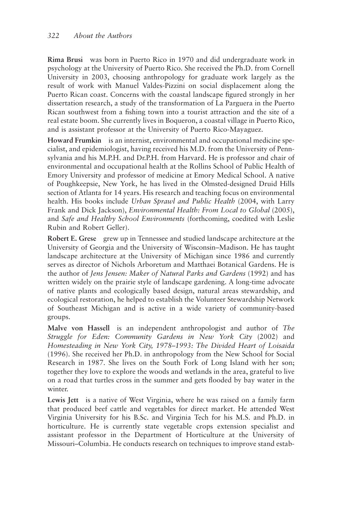**Rima Brusi** was born in Puerto Rico in 1970 and did undergraduate work in psychology at the University of Puerto Rico. She received the Ph.D. from Cornell University in 2003, choosing anthropology for graduate work largely as the result of work with Manuel Valdes-Pizzini on social displacement along the Puerto Rican coast. Concerns with the coastal landscape figured strongly in her dissertation research, a study of the transformation of La Parguera in the Puerto Rican southwest from a fishing town into a tourist attraction and the site of a real estate boom. She currently lives in Boqueron, a coastal village in Puerto Rico, and is assistant professor at the University of Puerto Rico-Mayaguez.

**Howard Frumkin** is an internist, environmental and occupational medicine specialist, and epidemiologist, having received his M.D. from the University of Pennsylvania and his M.P.H. and Dr.P.H. from Harvard. He is professor and chair of environmental and occupational health at the Rollins School of Public Health of Emory University and professor of medicine at Emory Medical School. A native of Poughkeepsie, New York, he has lived in the Olmsted-designed Druid Hills section of Atlanta for 14 years. His research and teaching focus on environmental health. His books include *Urban Sprawl and Public Health* (2004, with Larry Frank and Dick Jackson), *Environmental Health: From Local to Global* (2005), and *Safe and Healthy School Environments* (forthcoming, coedited with Leslie Rubin and Robert Geller).

**Robert E. Grese** grew up in Tennessee and studied landscape architecture at the University of Georgia and the University of Wisconsin–Madison. He has taught landscape architecture at the University of Michigan since 1986 and currently serves as director of Nichols Arboretum and Matthaei Botanical Gardens. He is the author of *Jens Jensen: Maker of Natural Parks and Gardens* (1992) and has written widely on the prairie style of landscape gardening. A long-time advocate of native plants and ecologically based design, natural areas stewardship, and ecological restoration, he helped to establish the Volunteer Stewardship Network of Southeast Michigan and is active in a wide variety of community-based groups.

**Malve von Hassell** is an independent anthropologist and author of *The Struggle for Eden: Community Gardens in New York City* (2002) and *Homesteading in New York City, 1978–1993: The Divided Heart of Loisaida* (1996). She received her Ph.D. in anthropology from the New School for Social Research in 1987. She lives on the South Fork of Long Island with her son; together they love to explore the woods and wetlands in the area, grateful to live on a road that turtles cross in the summer and gets flooded by bay water in the winter.

**Lewis Jett** is a native of West Virginia, where he was raised on a family farm that produced beef cattle and vegetables for direct market. He attended West Virginia University for his B.Sc. and Virginia Tech for his M.S. and Ph.D. in horticulture. He is currently state vegetable crops extension specialist and assistant professor in the Department of Horticulture at the University of Missouri–Columbia. He conducts research on techniques to improve stand estab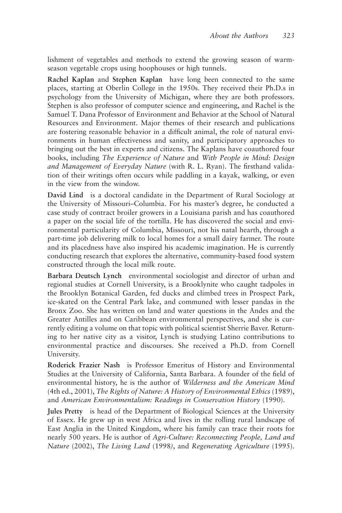lishment of vegetables and methods to extend the growing season of warmseason vegetable crops using hoophouses or high tunnels.

**Rachel Kaplan** and **Stephen Kaplan** have long been connected to the same places, starting at Oberlin College in the 1950s. They received their Ph.D.s in psychology from the University of Michigan, where they are both professors. Stephen is also professor of computer science and engineering, and Rachel is the Samuel T. Dana Professor of Environment and Behavior at the School of Natural Resources and Environment. Major themes of their research and publications are fostering reasonable behavior in a difficult animal, the role of natural environments in human effectiveness and sanity, and participatory approaches to bringing out the best in experts and citizens. The Kaplans have coauthored four books, including *The Experience of Nature* and *With People in Mind: Design and Management of Everyday Nature* (with R. L. Ryan). The firsthand validation of their writings often occurs while paddling in a kayak, walking, or even in the view from the window.

**David Lind** is a doctoral candidate in the Department of Rural Sociology at the University of Missouri–Columbia. For his master's degree, he conducted a case study of contract broiler growers in a Louisiana parish and has coauthored a paper on the social life of the tortilla. He has discovered the social and environmental particularity of Columbia, Missouri, not his natal hearth, through a part-time job delivering milk to local homes for a small dairy farmer. The route and its placedness have also inspired his academic imagination. He is currently conducting research that explores the alternative, community-based food system constructed through the local milk route.

**Barbara Deutsch Lynch** environmental sociologist and director of urban and regional studies at Cornell University, is a Brooklynite who caught tadpoles in the Brooklyn Botanical Garden, fed ducks and climbed trees in Prospect Park, ice-skated on the Central Park lake, and communed with lesser pandas in the Bronx Zoo. She has written on land and water questions in the Andes and the Greater Antilles and on Caribbean environmental perspectives, and she is currently editing a volume on that topic with political scientist Sherrie Baver. Returning to her native city as a visitor, Lynch is studying Latino contributions to environmental practice and discourses. She received a Ph.D. from Cornell University.

**Roderick Frazier Nash** is Professor Emeritus of History and Environmental Studies at the University of California, Santa Barbara. A founder of the field of environmental history, he is the author of *Wilderness and the American Mind* (4th ed., 2001), *The Rights of Nature: A History of Environmental Ethics* (1989), and *American Environmentalism: Readings in Conservation History* (1990).

**Jules Pretty** is head of the Department of Biological Sciences at the University of Essex. He grew up in west Africa and lives in the rolling rural landscape of East Anglia in the United Kingdom, where his family can trace their roots for nearly 500 years. He is author of *Agri-Culture: Reconnecting People, Land and Nature* (2002), *The Living Land* (1998*)*, and *Regenerating Agriculture* (1995).